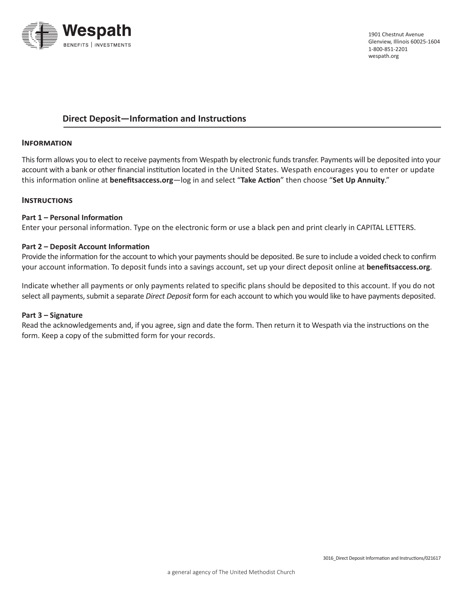

## **Direct Deposit—Information and Instructions**

### **Information**

This form allows you to elect to receive payments from Wespath by electronic funds transfer. Payments will be deposited into your account with a bank or other financial institution located in the United States. Wespath encourages you to enter or update this information online at **[benefitsaccess.org](http://www.benefitsaccess.org)**—log in and select "**Take Action**" then choose "**Set Up Annuity**."

## **Instructions**

### **Part 1 – Personal Information**

Enter your personal information. Type on the electronic form or use a black pen and print clearly in CAPITAL LETTERS.

### **Part 2 – Deposit Account Information**

Provide the information for the account to which your payments should be deposited. Be sure to include a voided check to confirm your account information. To deposit funds into a savings account, set up your direct deposit online at **[benefitsaccess.org](http://www.benefitsaccess.org)**.

Indicate whether all payments or only payments related to specific plans should be deposited to this account. If you do not select all payments, submit a separate *Direct Deposit* form for each account to which you would like to have payments deposited.

#### **Part 3 – Signature**

Read the acknowledgements and, if you agree, sign and date the form. Then return it to Wespath via the instructions on the form. Keep a copy of the submitted form for your records.